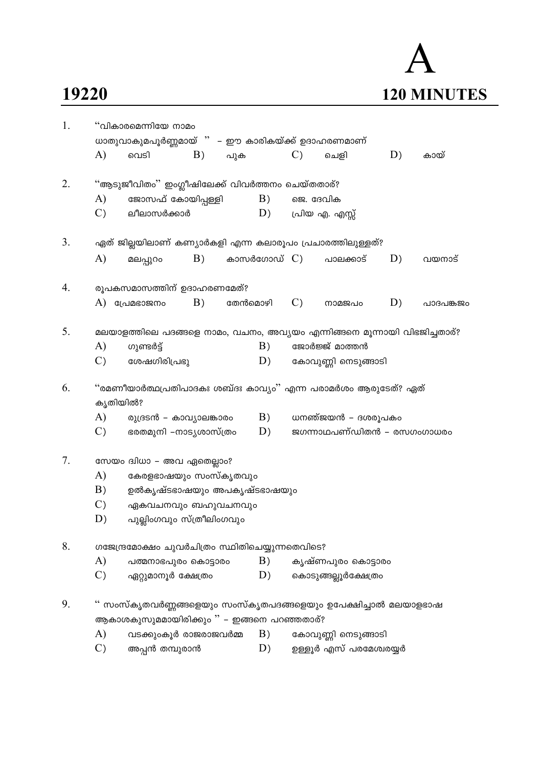## 19220

## $\bm{\mathsf{A}}$ 120 MINUTES

| 1. | "വികാരമെന്നിയേ നാമം<br>ധാതുവാകുമപൂർണ്ണമായ് " – ഈ കാരികയ്ക്ക് ഉദാഹരണമാണ് |                                                                          |    |         |             |                 |                            |    |           |  |  |  |
|----|-------------------------------------------------------------------------|--------------------------------------------------------------------------|----|---------|-------------|-----------------|----------------------------|----|-----------|--|--|--|
|    | A)                                                                      | വെടി                                                                     | B) | പുക     |             | $\mathcal{C}$ ) | ചെളി                       | D) | കായ്      |  |  |  |
| 2. |                                                                         | ''ആടുജീവിതം'' ഇംഗ്ലീഷിലേക്ക് വിവർത്തനം ചെയ്തതാര്?                        |    |         |             |                 |                            |    |           |  |  |  |
|    | A)                                                                      | ജോസഫ് കോയിപ്പള്ളി                                                        |    |         | B)          | ജെ. ദേവിക       |                            |    |           |  |  |  |
|    | $\mathcal{C}$ )                                                         | ലീലാസർക്കാർ                                                              |    |         | D)          |                 | പ്രിയ എ. എസ്സ്             |    |           |  |  |  |
| 3. |                                                                         | ഏത് ജില്ലയിലാണ് കണ്യാർകളി എന്ന കലാരൂപം പ്രചാരത്തിലുള്ളത്?                |    |         |             |                 |                            |    |           |  |  |  |
|    | A)                                                                      | മലപ്പുറം                                                                 | B) |         | കാസർഗോഡ് C) |                 | പാലക്കാട്                  | D) | വയനാട്    |  |  |  |
| 4. |                                                                         | രൂപകസമാസത്തിന് ഉദാഹരണമേത്?                                               |    |         |             |                 |                            |    |           |  |  |  |
|    | A)                                                                      | പ്രേമഭാജനം                                                               | B) | തേൻമൊഴി |             | $\mathcal{C}$   | നാമജപം                     | D) | പാദപങ്കജം |  |  |  |
| 5. |                                                                         | മലയാളത്തിലെ പദങ്ങളെ നാമം, വചനം, അവ്യയം എന്നിങ്ങനെ മൂന്നായി വിഭജിച്ചതാര്? |    |         |             |                 |                            |    |           |  |  |  |
|    | A)                                                                      | ഗുണ്ടർട്ട്                                                               |    |         | B)          |                 | ജോർജ്ജ് മാത്തൻ             |    |           |  |  |  |
|    | $\mathcal{C}$ )                                                         | ശേഷഗിരിപ്രഭു                                                             |    |         | D)          |                 | കോവുണ്ണി നെടുങ്ങാടി        |    |           |  |  |  |
| 6. |                                                                         | ''രമണീയാർത്ഥപ്രതിപാദകഃ ശബ്ദഃ കാവ്യം'' എന്ന പരാമർശം ആരുടേത്? ഏത്          |    |         |             |                 |                            |    |           |  |  |  |
|    | കൃതിയിൽ?                                                                |                                                                          |    |         |             |                 |                            |    |           |  |  |  |
|    | A)                                                                      | രുദ്രടൻ – കാവ്യാലങ്കാരം                                                  |    |         | B)          |                 | ധനഞ്ജയൻ – ദശരൂപകം          |    |           |  |  |  |
|    | $\mathcal{C}$ )                                                         | ഭരതമുനി –നാട്യശാസ്ത്രം                                                   |    |         | D)          |                 | ജഗന്നാഥപണ്ഡിതൻ – രസഗംഗാധരം |    |           |  |  |  |
| 7. |                                                                         | സേയം ദ്വിധാ – അവ ഏതെല്ലാം?                                               |    |         |             |                 |                            |    |           |  |  |  |
|    | A)                                                                      | കേരളഭാഷയും സംസ്കൃതവും                                                    |    |         |             |                 |                            |    |           |  |  |  |
|    | B)                                                                      | ഉൽകൃഷ്ടഭാഷയും അപകൃഷ്ടഭാഷയും                                              |    |         |             |                 |                            |    |           |  |  |  |
|    | $\mathcal{C}$                                                           | ഏകവചനവും ബഹുവചനവും                                                       |    |         |             |                 |                            |    |           |  |  |  |
|    | D)                                                                      | പുല്ലിംഗവും സ്ത്രീലിംഗവും                                                |    |         |             |                 |                            |    |           |  |  |  |
| 8. |                                                                         | ഗജേന്ദ്രമോക്ഷം ചുവർചിത്രം സ്ഥിതിചെയ്യുന്നതെവിടെ?                         |    |         |             |                 |                            |    |           |  |  |  |
|    | A)                                                                      | പത്മനാഭപുരം കൊട്ടാരം                                                     |    |         | B)          |                 | കൃഷ്ണപുരം കൊട്ടാരം         |    |           |  |  |  |
|    | $\mathcal{C}$ )                                                         | ഏറ്റുമാനൂർ ക്ഷേത്രം                                                      |    |         | D)          |                 | കൊടുങ്ങല്ലൂർക്ഷേത്രം       |    |           |  |  |  |
| 9. |                                                                         | ്' സംസ്കൃതവർണ്ണങ്ങളെയും സംസ്കൃതപദങ്ങളെയും ഉപേക്ഷിച്ചാൽ മലയാളഭാഷ          |    |         |             |                 |                            |    |           |  |  |  |
|    |                                                                         | ആകാശകുസുമമായിരിക്കും $"$ – ഇങ്ങനെ പറഞ്ഞതാര്?                             |    |         |             |                 |                            |    |           |  |  |  |
|    | A)                                                                      | വടക്കുംകൂർ രാജരാജവർമ്മ                                                   |    |         | B)          |                 | കോവുണ്ണി നെടുങ്ങാടി        |    |           |  |  |  |
|    | $\mathcal{C}$                                                           | അപ്പൻ തമ്പുരാൻ                                                           |    |         | D)          |                 | ഉള്ളൂർ എസ് പരമേശ്വരയ്യർ    |    |           |  |  |  |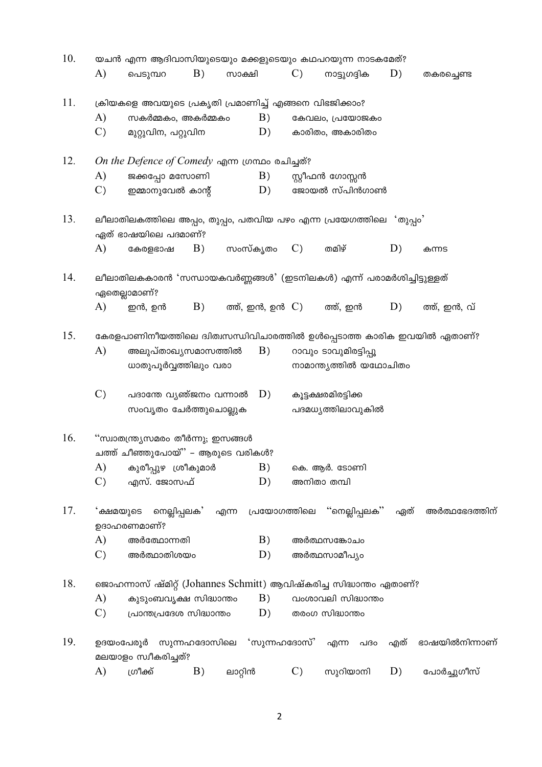| 10. | യചൻ എന്ന ആദിവാസിയുടെയും മക്കളുടെയും കഥപറയുന്ന നാടകമേത്? |                                                                          |              |                    |    |                 |                                                                      |     |                                                                         |  |
|-----|---------------------------------------------------------|--------------------------------------------------------------------------|--------------|--------------------|----|-----------------|----------------------------------------------------------------------|-----|-------------------------------------------------------------------------|--|
|     | A)                                                      | പെടുമ്പറ                                                                 | B)           | സാക്ഷി             |    | $\mathcal{C}$ ) | നാട്ടുഗദ്ദിക                                                         | D)  | തകരച്ചെണ്ട                                                              |  |
| 11. |                                                         | ക്രിയകളെ അവയുടെ പ്രകൃതി പ്രമാണിച്ച് എങ്ങനെ വിഭജിക്കാം?                   |              |                    |    |                 |                                                                      |     |                                                                         |  |
|     | A)                                                      | സകർമ്മകം, അകർമ്മകം                                                       |              |                    | B) |                 | കേവലം, പ്രയോജകം                                                      |     |                                                                         |  |
|     | $\mathcal{C}$                                           | മുറ്റുവിന, പറ്റുവിന                                                      |              |                    | D) |                 | കാരിതം, അകാരിതം                                                      |     |                                                                         |  |
| 12. |                                                         | On the Defence of Comedy എന്ന ഗ്രന്ഥം രചിച്ചത്?                          |              |                    |    |                 |                                                                      |     |                                                                         |  |
|     | A)                                                      | ജക്കപ്പോ മസോണി                                                           |              |                    | B) |                 | സ്റ്റീഫൻ ഗോസ്സൻ                                                      |     |                                                                         |  |
|     | $\mathcal{C}$                                           | ഇമ്മാനുവേൽ കാന്റ്                                                        |              |                    | D) |                 | ജോയൽ സ്പിൻഗാൺ                                                        |     |                                                                         |  |
| 13. |                                                         | ഏത് ഭാഷയിലെ പദമാണ്?                                                      |              |                    |    |                 | ലീലാതിലകത്തിലെ അപ്പം, തുപ്പം, പതവിയ പഴം എന്ന പ്രയേഗത്തിലെ 'തുപ്പം'   |     |                                                                         |  |
|     | A)                                                      | കേരളഭാഷ                                                                  | B)           | സംസ്കൃതം           |    | $\mathcal{C}$   | തമിഴ്                                                                | D)  | കന്നട                                                                   |  |
| 14. |                                                         | ഏതെല്ലാമാണ്?                                                             |              |                    |    |                 | ലീലാതിലകകാരൻ 'സന്ധായകവർണ്ണങ്ങൾ' (ഇടനിലകൾ) എന്ന് പരാമർശിച്ചിട്ടുള്ളത് |     |                                                                         |  |
|     | A)                                                      | ഇൻ, ഉൻ                                                                   | B)           | ത്ത്, ഇൻ, ഉൻ $C$ ) |    |                 | ത്ത്, ഇൻ                                                             | D)  | ത്ത്, ഇൻ, വ്                                                            |  |
| 15. |                                                         |                                                                          |              |                    |    |                 |                                                                      |     | കേരളപാണിനീയത്തിലെ ദ്വിത്വസന്ധിവിചാരത്തിൽ ഉൾപ്പെടാത്ത കാരിക ഇവയിൽ ഏതാണ്? |  |
|     | A)                                                      | അലുപ്താഖ്യസമാസത്തിൽ                                                      |              |                    | B) |                 | റാവും ടാവുമിരട്ടിപ്പൂ                                                |     |                                                                         |  |
|     |                                                         | ധാതുപൂർവ്വത്തിലും വരാ                                                    |              |                    |    |                 | നാമാന്ത്യത്തിൽ യഥോചിതം                                               |     |                                                                         |  |
|     | $\mathcal{C}$ )                                         | പദാന്തേ വൃഞ്ജനം വന്നാൽ $\,$ $\,$ $D)$                                    |              |                    |    |                 | കൂട്ടക്ഷരമിരട്ടിക്ക                                                  |     |                                                                         |  |
|     |                                                         | സംവൃതം ചേർത്തുചൊല്ലുക                                                    |              |                    |    |                 | പദമധ്യത്തിലാവുകിൽ                                                    |     |                                                                         |  |
| 16. |                                                         | "സ്വാതന്ത്ര്യസമരം തീർന്നു; ഇസങ്ങൾ<br>ചത്ത് ചീഞ്ഞുപോയ് $"$ – ആരുടെ വരികൾ? |              |                    |    |                 |                                                                      |     |                                                                         |  |
|     | A)                                                      | കുരീപ്പുഴ ശ്രീകുമാർ                                                      |              |                    | B) |                 | കെ. ആർ. ടോണി                                                         |     |                                                                         |  |
|     | $\mathcal{C}$ )                                         | എസ്. ജോസഫ്                                                               |              |                    | D) |                 | അനിതാ തമ്പി                                                          |     |                                                                         |  |
| 17. | 'ക്ഷമയുടെ                                               | നെല്ലിപ്പലക'<br>ഉദാഹരണമാണ്?                                              |              | എന്ന               |    | പ്രയോഗത്തിലെ    | "നെല്ലിപ്പലക്"                                                       | ഏത് | അർത്ഥഭേദത്തിന്                                                          |  |
|     | A)                                                      | അർത്ഥോന്നതി                                                              |              |                    | B) |                 | അർത്ഥസങ്കോചം                                                         |     |                                                                         |  |
|     | $\mathcal{C}$ )                                         | അർത്ഥാതിശയം                                                              |              |                    | D) |                 | അർത്ഥസാമീപ്യം                                                        |     |                                                                         |  |
| 18. |                                                         |                                                                          |              |                    |    |                 | ജൊഹന്നാസ് ഷ്മിറ്റ് (Johannes Schmitt) ആവിഷ്കരിച്ച സിദ്ധാന്തം ഏതാണ്?  |     |                                                                         |  |
|     | A)                                                      | കുടുംബവൃക്ഷ സിദ്ധാന്തം                                                   |              |                    | B) |                 | വംശാവലി സിദ്ധാന്തം                                                   |     |                                                                         |  |
|     | $\mathcal{C}$ )                                         | പ്രാന്തപ്രദേശ സിദ്ധാന്തം                                                 |              |                    | D) |                 | തരംഗ സിദ്ധാന്തം                                                      |     |                                                                         |  |
| 19. | ഉദയംപേരൂർ                                               | മലയാളം സ്വീകരിച്ചത്?                                                     | സുന്നഹദോസിലെ |                    |    | 'സുന്നഹദോസ്'    | എന്ന<br>പദഠ                                                          | എത് | ഭാഷയിൽനിന്നാണ്                                                          |  |
|     | A)                                                      | ഗ്രീക്ക്                                                                 | B)           | ലാറ്റിൻ            |    | $\mathcal{C}$   | സുറിയാനി                                                             | D)  | പോർച്ചുഗീസ്                                                             |  |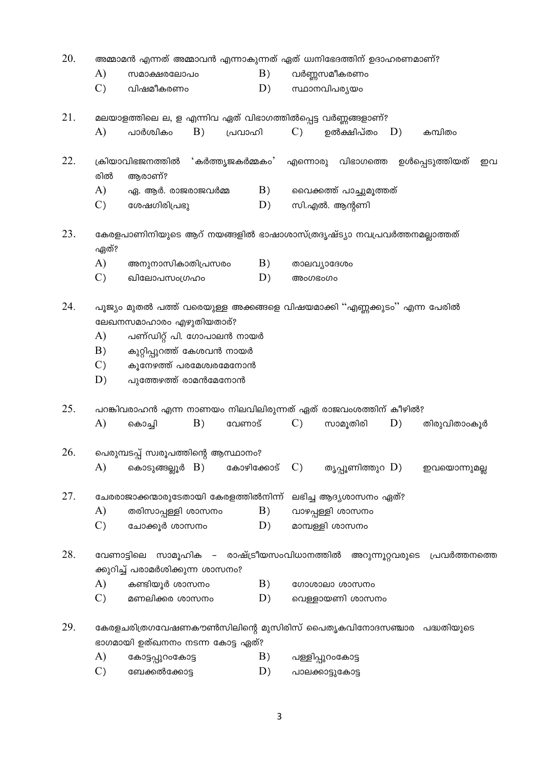| 20. | അമ്മാമൻ എന്നത് അമ്മാവൻ എന്നാകുന്നത് ഏത് ധ്വനിഭേദത്തിന് ഉദാഹരണമാണ്? |                                                                                                                                                                                                                     |    |                                 |    |                   |                         |  |    |                               |    |
|-----|--------------------------------------------------------------------|---------------------------------------------------------------------------------------------------------------------------------------------------------------------------------------------------------------------|----|---------------------------------|----|-------------------|-------------------------|--|----|-------------------------------|----|
|     | A)                                                                 | സമാക്ഷരലോപം                                                                                                                                                                                                         |    |                                 | B) |                   | വർണ്ണസമീകരണം            |  |    |                               |    |
|     | $\mathcal{C}$ )                                                    | വിഷമീകരണം                                                                                                                                                                                                           |    |                                 | D) |                   | സ്ഥാനവിപര്യയം           |  |    |                               |    |
| 21. |                                                                    | മലയാളത്തിലെ ല, ള എന്നിവ ഏത് വിഭാഗത്തിൽപ്പെട്ട വർണ്ണങ്ങളാണ്?                                                                                                                                                         |    |                                 |    |                   |                         |  |    |                               |    |
|     | A)                                                                 | പാർശ്വികം                                                                                                                                                                                                           | B) | പ്രവാഹി                         |    | $\mathcal{C}$ )   | ഉൽക്ഷിപ്തം $D$ )        |  |    | കമ്പിതം                       |    |
| 22. | രിൽ                                                                | ക്രിയാവിഭജനത്തിൽ<br>ആരാണ്?                                                                                                                                                                                          |    | 'കർത്തൃജകർമ്മകം'                |    | എന്നൊരു വിഭാഗത്തെ |                         |  |    | ഉൾപ്പെടുത്തിയത്               | ഇവ |
|     | A)                                                                 | ഏ. ആർ. രാജരാജവർമ്മ                                                                                                                                                                                                  |    |                                 | B) |                   | വൈക്കത്ത് പാച്ചുമൂത്തത് |  |    |                               |    |
|     | $\mathcal{C}$                                                      | ശേഷഗിരിപ്രഭു                                                                                                                                                                                                        |    |                                 | D) |                   | സി.എൽ. ആന്റണി           |  |    |                               |    |
| 23. | ഏത്?                                                               | കേരളപാണിനിയുടെ ആറ് നയങ്ങളിൽ ഭാഷാശാസ്ത്രദൃഷ്ട്യാ നവപ്രവർത്തനമല്ലാത്തത്                                                                                                                                               |    |                                 |    |                   |                         |  |    |                               |    |
|     | A)                                                                 | അനുനാസികാതിപ്രസരം                                                                                                                                                                                                   |    |                                 | B) |                   | താലവ്യാദേശം             |  |    |                               |    |
|     | $\mathcal{C}$ )                                                    | ഖിലോപസംഗ്രഹം                                                                                                                                                                                                        |    |                                 | D) | അംഗഭംഗം           |                         |  |    |                               |    |
| 24. | A)<br>B)<br>$\mathcal{C}$<br>D)                                    | പൂജ്യം മുതൽ പത്ത് വരെയുള്ള അക്കങ്ങളെ വിഷയമാക്കി ''എണ്ണക്കുടം'' എന്ന പേരിൽ<br>ലേഖനസമാഹാരം എഴുതിയതാര്?<br>പണ്ഡിറ്റ് പി. ഗോപാലൻ നായർ<br>കുറ്റിപ്പുറത്ത് കേശവൻ നായർ<br>കൂനേഴത്ത് പരമേശ്വരമേനോൻ<br>പുത്തേഴത്ത് രാമൻമേനോൻ |    |                                 |    |                   |                         |  |    |                               |    |
| 25. | A)                                                                 | പറങ്കിവരാഹൻ എന്ന നാണയം നിലവിലിരുന്നത് ഏത് രാജവംശത്തിന് കീഴിൽ?<br>കൊച്ചി                                                                                                                                             | B) | വേണാട്                          |    | $\mathcal{C}$ )   | സാമൂതിരി                |  | D) | തിരുവിതാംകൂർ                  |    |
| 26. | A)                                                                 | പെരുമ്പടപ്പ് സ്വരൂപത്തിന്റെ ആസ്ഥാനം?<br>കൊടുങ്ങല്ലൂർ B)                                                                                                                                                             |    | കോഴിക്കോട്                      |    | $\mathcal{C}$     | തൃപ്പൂണിത്തുറ D)        |  |    | ഇവയൊന്നുമല്ല                  |    |
|     |                                                                    |                                                                                                                                                                                                                     |    |                                 |    |                   |                         |  |    |                               |    |
| 27. |                                                                    | ചേരരാജാക്കന്മാരുടേതായി കേരളത്തിൽനിന്ന്                                                                                                                                                                              |    |                                 |    |                   | ലഭിച്ച ആദ്യശാസനം ഏത്?   |  |    |                               |    |
|     | A)                                                                 | തരിസാപ്പള്ളി ശാസനം                                                                                                                                                                                                  |    |                                 | B) |                   | വാഴപ്പള്ളി ശാസനം        |  |    |                               |    |
|     | $\mathcal{C}$                                                      | ചോക്കൂർ ശാസനം                                                                                                                                                                                                       |    |                                 | D) |                   | മാമ്പള്ളി ശാസനം         |  |    |                               |    |
| 28. | വേണാട്ടിലെ                                                         | ക്കുറിച്ച് പരാമർശിക്കുന്ന ശാസനം?                                                                                                                                                                                    |    | സാമൂഹിക – രാഷ്ട്രീയസംവിധാനത്തിൽ |    |                   |                         |  |    | അറുന്നൂറ്റവരുടെ പ്രവർത്തനത്തെ |    |
|     | A)                                                                 | കണ്ടിയൂർ ശാസനം                                                                                                                                                                                                      |    |                                 | B) |                   | ഗോശാലാ ശാസനം            |  |    |                               |    |
|     | $\mathcal{C}$ )                                                    | മണലിക്കര ശാസനം                                                                                                                                                                                                      |    |                                 | D) |                   | വെള്ളായണി ശാസനം         |  |    |                               |    |
| 29. |                                                                    | കേരളചരിത്രഗവേഷണകൗൺസിലിന്റെ മുസിരിസ് പൈതൃകവിനോദസഞ്ചാര പദ്ധതിയുടെ<br>ഭാഗമായി ഉത്ഖനനം നടന്ന കോട്ട ഏത്?                                                                                                                 |    |                                 |    |                   |                         |  |    |                               |    |
|     | A)                                                                 | കോട്ടപ്പുറംകോട്ട                                                                                                                                                                                                    |    |                                 | B) |                   | പള്ളിപ്പുറംകോട്ട        |  |    |                               |    |
|     | $\mathcal{C}$                                                      | ബേക്കൽക്കോട്ട                                                                                                                                                                                                       |    |                                 | D) |                   | പാലക്കാട്ടുകോട്ട        |  |    |                               |    |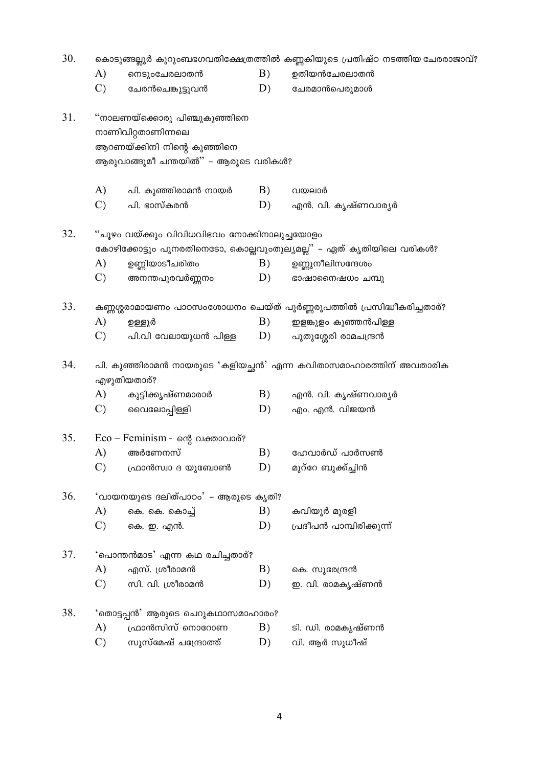| 30. |                 |                                                                                                                           |    | കൊടുങ്ങല്ലൂർ കുറുംബഭഗവതിക്ഷേത്രത്തിൽ കണ്ണകിയുടെ പ്രതിഷ്ഠ നടത്തിയ ചേരരാജാവ്? |
|-----|-----------------|---------------------------------------------------------------------------------------------------------------------------|----|-----------------------------------------------------------------------------|
|     | A)              | നെടുംചേരലാതൻ                                                                                                              | B) | ഉതിയൻചേരലാതൻ                                                                |
|     | $\mathcal{C}$ ) | ചേരൻചെങ്കുട്ടുവൻ                                                                                                          | D) | ചേരമാൻപെരുമാൾ                                                               |
| 31. |                 | ''നാലണയ്ക്കൊരു പിഞ്ചുകുഞ്ഞിനെ<br>നാണിവിറ്റതാണിന്നലെ<br>ആറണയ്ക്കിനി നിന്റെ കുഞ്ഞിനെ<br>ആരുവാങ്ങുമീ ചന്തയിൽ" – ആരുടെ വരികൾ? |    |                                                                             |
|     | A)              | പി. കുഞ്ഞിരാമൻ നായർ                                                                                                       | B) | വയലാർ                                                                       |
|     | $\mathcal{C}$ ) | പി. ഭാസ്കരൻ                                                                                                               | D) | എൻ. വി. കൃഷ്ണവാര്യർ                                                         |
| 32. |                 | ്ചൂഴം വയ്ക്കും വിവിധവിഭവം നോക്കിനാലുച്ചയോളം                                                                               |    |                                                                             |
|     |                 |                                                                                                                           |    | കോഴിക്കോട്ടും പുനരതിനെടോ, കൊല്ലവുംതുല്യമല്ല" – ഏത് കൃതിയിലെ വരികൾ?          |
|     | A)              | ഉണ്ണിയാടീചരിതം                                                                                                            | B) | ഉണ്ണുനീലിസന്ദേശം                                                            |
|     | $\mathcal{C}$   | അനന്തപുരവർണ്ണനം                                                                                                           | D) | ഭാഷാനൈഷധം ചമ്പു                                                             |
| 33. |                 |                                                                                                                           |    | കണ്ണശ്ശരാമായണം പാഠസംശോധനം ചെയ്ത് പൂർണ്ണരൂപത്തിൽ പ്രസിദ്ധീകരിച്ചതാര്?        |
|     | A)              | ഉള്ളൂർ                                                                                                                    | B) | ഇളങ്കുളം കുഞ്ഞൻപിള്ള                                                        |
|     | $\mathcal{C}$ ) | പി.വി വേലായുധൻ പിള്ള                                                                                                      | D) | പുതുശ്ശേരി രാമചന്ദ്രൻ                                                       |
| 34. |                 | എഴുതിയതാര്?                                                                                                               |    | പി. കുഞ്ഞിരാമൻ നായരുടെ 'കളിയച്ഛൻ' എന്ന കവിതാസമാഹാരത്തിന് അവതാരിക            |
|     | A)              | കുട്ടിക്കൃഷ്ണമാരാർ                                                                                                        | B) | എൻ. വി. കൃഷ്ണവാര്യർ                                                         |
|     | $\mathcal{C}$   | വൈലോപ്പിള്ളി                                                                                                              | D) | എം. എൻ. വിജയൻ                                                               |
| 35. |                 | $Eco - \text{Feminism}$ - ന്റെ വക്താവാര്?                                                                                 |    |                                                                             |
|     | A)              | അർണേനസ്                                                                                                                   | B) | ഹേവാർഡ് പാർസൺ                                                               |
|     | $\mathcal{C}$ ) | ഫ്രാൻസ്വാ ദ യുബോൺ                                                                                                         | D) | മുറ്റേ ബുക്ക്ച്ചിൻ                                                          |
| 36. |                 | 'വായനയുടെ ദലിത്പാഠം' – ആരുടെ കൃതി?                                                                                        |    |                                                                             |
|     | A)              | കെ. കെ. കൊച്ച്                                                                                                            | B) | കവിയൂർ മുരളി                                                                |
|     | $\mathcal{C}$ ) | കെ. ഇ. എൻ.                                                                                                                | D) | പ്രദീപൻ പാമ്പിരിക്കുന്ന്                                                    |
| 37. |                 | 'പൊന്തൻമാട' എന്ന കഥ രചിച്ചതാര്?                                                                                           |    |                                                                             |
|     | A)              | എസ്. ശ്രീരാമൻ                                                                                                             | B) | കെ. സുരേന്ദ്രൻ                                                              |
|     | $\mathcal{C}$ ) | സി. വി. ശ്രീരാമൻ                                                                                                          | D) | ഇ. വി. രാമകൃഷ്ണൻ                                                            |
| 38. |                 | 'തൊട്ടപ്പൻ' ആരുടെ ചെറുകഥാസമാഹാരം?                                                                                         |    |                                                                             |
|     | A)              | ഫ്രാൻസിസ് നൊറോണ                                                                                                           | B) | ടി. ഡി. രാമകൃഷ്ണൻ                                                           |
|     | $\mathcal{C}$   | സുസ്മേഷ് ചന്ദ്രോത്ത്                                                                                                      | D) | വി. ആർ സുധീഷ്                                                               |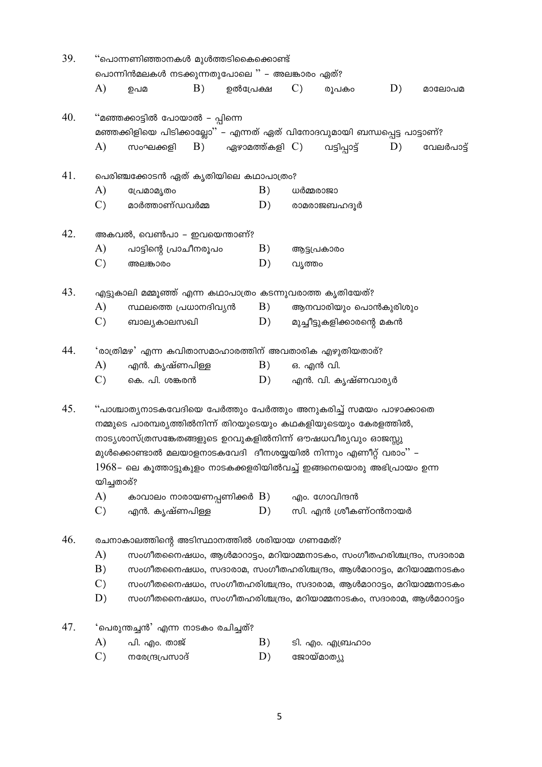| 39.<br>''പൊന്നണിഞ്ഞാനകൾ മുൾത്തടികൈക്കൊണ്ട് |                 |                                               |    |                        |                 |                                                                            |    |            |
|--------------------------------------------|-----------------|-----------------------------------------------|----|------------------------|-----------------|----------------------------------------------------------------------------|----|------------|
|                                            |                 | പൊന്നിൻമലകൾ നടക്കുന്നതുപോലെ " – അലങ്കാരം ഏത്? |    |                        |                 |                                                                            |    |            |
|                                            | A)              | ഉപമ                                           | B) | ഉൽപ്രേക്ഷ              | $\mathcal{C}$ ) | രൂപകാ                                                                      | D) | മാലോപമ     |
| 40.                                        |                 | "മഞ്ഞക്കാട്ടിൽ പോയാൽ – പ്പിന്നെ               |    |                        |                 |                                                                            |    |            |
|                                            |                 |                                               |    |                        |                 | മഞ്ഞക്കിളിയെ പിടിക്കാല്ലോ'' – എന്നത് ഏത് വിനോദവുമായി ബന്ധപ്പെട്ട പാട്ടാണ്? |    |            |
|                                            | A)              | സംഘക്കളി                                      | B) | എഴാമത്ത്കളി $\Gamma$ ) |                 | വട്ടിപ്പാട്ട്                                                              | D) | വേലർപാട്ട് |
| 41.                                        |                 | പെരിഞ്ചക്കോടൻ ഏത് കൃതിയിലെ കഥാപാത്രം?         |    |                        |                 |                                                                            |    |            |
|                                            | A)              | പ്രേമാമൃതം                                    |    | B)                     |                 | ധർമ്മരാജാ                                                                  |    |            |
|                                            | $\mathcal{C}$ ) | മാർത്താണ്ഡവർമ്മ                               |    | D)                     |                 | രാമരാജബഹദൂർ                                                                |    |            |
| 42.                                        |                 | അകവൽ, വെൺപാ – ഇവയെന്താണ്?                     |    |                        |                 |                                                                            |    |            |
|                                            | A)              | പാട്ടിന്റെ പ്രാചീനരൂപം                        |    | B)                     |                 | ആട്ടപ്രകാരം                                                                |    |            |
|                                            | $\mathcal{C}$ ) | അലങ്കാരം                                      |    | D)                     |                 | വൃത്തം                                                                     |    |            |
| 43.                                        |                 |                                               |    |                        |                 | എട്ടുകാലി മമ്മൂഞ്ഞ് എന്ന കഥാപാത്രം കടന്നുവരാത്ത കൃതിയേത്?                  |    |            |
|                                            | A)              | സ്ഥലത്തെ പ്രധാനദിവ്യൻ                         |    | B)                     |                 | ആനവാരിയും പൊൻകുരിശും                                                       |    |            |
|                                            | $\mathcal{C}$ ) | ബാല്യകാലസഖി                                   |    | D)                     |                 | മുച്ചീട്ടുകളിക്കാരന്റെ മകൻ                                                 |    |            |
| 44.                                        |                 |                                               |    |                        |                 | 'രാത്രിമഴ' എന്ന കവിതാസമാഹാരത്തിന് അവതാരിക എഴുതിയതാര്?                      |    |            |
|                                            | A)              | എൻ. കൃഷ്ണപിള്ള                                |    | B)                     |                 | ഒ. എൻ വി.                                                                  |    |            |
|                                            | $\mathcal{C}$ ) | കെ. പി. ശങ്കരൻ                                |    | D)                     |                 | എൻ. വി. കൃഷ്ണവാര്യർ                                                        |    |            |
| 45.                                        |                 |                                               |    |                        |                 | "പാശ്ചാത്യനാടകവേദിയെ പേർത്തും പേർത്തും അനുകരിച്ച് സമയം പാഴാക്കാതെ          |    |            |
|                                            |                 |                                               |    |                        |                 | നമ്മുടെ പാരമ്പര്യത്തിൽനിന്ന് തിറയുടെയും കഥകളിയുടെയും കേരളത്തിൽ,            |    |            |
|                                            |                 |                                               |    |                        |                 | നാട്യശാസ്ത്രസങ്കേതങ്ങളുടെ ഉറവുകളിൽനിന്ന് ഔഷധവീര്യവും ഓജസ്സു                |    |            |
|                                            |                 |                                               |    |                        |                 | മുൾക്കൊണ്ടാൽ മലയാളനാടകവേദി ദീനശയ്യയിൽ നിന്നും എണീറ്റ് വരാം'' –             |    |            |
|                                            |                 |                                               |    |                        |                 | $1968$ – ലെ കൂത്താട്ടുകുളം നാടകക്കളരിയിൽവച്ച് ഇങ്ങനെയൊരു അഭിപ്രായം ഉന്ന    |    |            |
|                                            | യിച്ചതാര്?      |                                               |    |                        |                 |                                                                            |    |            |
|                                            | A)              | കാവാലം നാരായണപ്പണിക്കർ $\, {\bf B)} \,$       |    |                        |                 | എം. ഗോവിന്ദൻ                                                               |    |            |
|                                            | $\mathcal{C}$   | എൻ. കൃഷ്ണപിള്ള                                |    | D)                     |                 | സി. എൻ ശ്രീകണ്ഠൻനായർ                                                       |    |            |
| 46.                                        |                 | രചനാകാലത്തിന്റെ അടിസ്ഥാനത്തിൽ ശരിയായ ഗണമേത്?  |    |                        |                 |                                                                            |    |            |
|                                            | A)              |                                               |    |                        |                 | സംഗീതനൈഷധം, ആൾമാറാട്ടം, മറിയാമ്മനാടകം, സംഗീതഹരിശ്ചന്ദ്രം, സദാരാമ           |    |            |
|                                            | B)              |                                               |    |                        |                 | സംഗീതനൈഷധം, സദാരാമ, സംഗീതഹരിശ്ചന്ദ്രം, ആൾമാറാട്ടം, മറിയാമ്മനാടകം           |    |            |
|                                            | $\mathcal{C}$   |                                               |    |                        |                 | സംഗീതനൈഷധം, സംഗീതഹരിശ്ചന്ദ്രം, സദാരാമ, ആൾമാറാട്ടം, മറിയാമ്മനാടകം           |    |            |
|                                            | D)              |                                               |    |                        |                 | സംഗീതനൈഷധം, സംഗീതഹരിശ്ചന്ദ്രം, മറിയാമ്മനാടകം, സദാരാമ, ആൾമാറാട്ടം           |    |            |
| 47.                                        |                 | ്പെരുന്തച്ചൻ' എന്ന നാടകം രചിച്ചത്?            |    |                        |                 |                                                                            |    |            |
|                                            | A)              | പി. എം. താജ്                                  |    | B)                     |                 | ടി. എം. എബ്രഹാം                                                            |    |            |
|                                            | $\mathcal{C}$ ) | നരേന്ദ്രപ്രസാദ്                               |    | D)                     |                 | ജോയ്മാത്യു                                                                 |    |            |
|                                            |                 |                                               |    |                        |                 |                                                                            |    |            |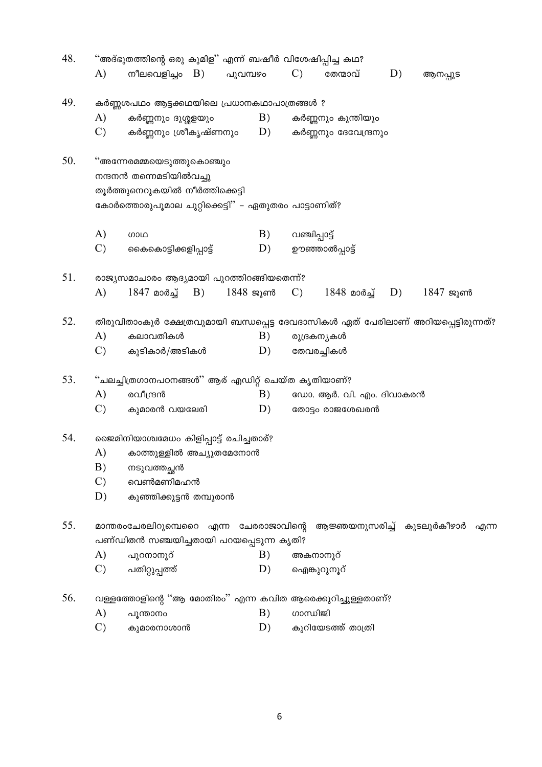| 48. | ''അദ്ഭുതത്തിന്റെ ഒരു കുമിള'' എന്ന് ബഷീർ വിശേഷിപ്പിച്ച കഥ? |                                                                                                                                                  |                |                 |                            |    |            |  |  |  |
|-----|-----------------------------------------------------------|--------------------------------------------------------------------------------------------------------------------------------------------------|----------------|-----------------|----------------------------|----|------------|--|--|--|
|     | A)                                                        | നീലവെളിച്ചം $B$ )                                                                                                                                | പൂവമ്പഴം       | $\mathcal{C}$ ) | തേന്മാവ്                   | D) | ആനപ്പൂട    |  |  |  |
| 49. |                                                           | കർണ്ണശപഥം ആട്ടക്കഥയിലെ പ്രധാനകഥാപാത്രങ്ങൾ ?                                                                                                      |                |                 |                            |    |            |  |  |  |
|     | A)                                                        | കർണ്ണനും ദുശ്ശളയും                                                                                                                               | B)             |                 | കർണ്ണനും കുന്തിയും         |    |            |  |  |  |
|     | $\mathcal{C}$ )                                           | കർണ്ണനും ശ്രീകൃഷ്ണനും                                                                                                                            | D)             |                 | കർണ്ണനും ദേവേന്ദ്രനും      |    |            |  |  |  |
| 50. |                                                           | ''അന്നേരമമ്മയെടുത്തുകൊഞ്ചും<br>നന്ദനൻ തന്നെമടിയിൽവച്ചു<br>തൂർത്തുനെറുകയിൽ നീർത്തിക്കെട്ടി<br>കോർത്തൊരുപൂമാല ചുറ്റിക്കെട്ടി" – ഏതുതരം പാട്ടാണിത്? |                |                 |                            |    |            |  |  |  |
|     | A)                                                        | <b>COOD</b>                                                                                                                                      | B)             | വഞ്ചിപ്പാട്ട്   |                            |    |            |  |  |  |
|     | $\mathcal{C}$                                             |                                                                                                                                                  |                |                 |                            |    |            |  |  |  |
|     |                                                           | കൈകൊട്ടിക്കളിപ്പാട്ട്                                                                                                                            | D)             |                 | ഊഞ്ഞാൽപ്പാട്ട്             |    |            |  |  |  |
| 51. |                                                           | രാജ്യസമാചാരം ആദ്യമായി പുറത്തിറങ്ങിയതെന്ന്?                                                                                                       |                |                 |                            |    |            |  |  |  |
|     | A)                                                        | $1847$ മാർച്ച് B)                                                                                                                                | 1848 ജൂൺ    C) |                 | 1848 മാർച്ച് D)            |    | $1847$ ജൂൺ |  |  |  |
| 52. |                                                           | തിരുവിതാംകൂർ ക്ഷേത്രവുമായി ബന്ധപ്പെട്ട ദേവദാസികൾ ഏത് പേരിലാണ് അറിയപ്പെട്ടിരുന്നത്?                                                               |                |                 |                            |    |            |  |  |  |
|     | A)                                                        | കലാവതികൾ                                                                                                                                         | B)             |                 | രുദ്രകന്യകൾ                |    |            |  |  |  |
|     | $\mathcal{C}$                                             | കുടികാർ/അടികൾ                                                                                                                                    | D)             |                 | തേവരച്ചികൾ                 |    |            |  |  |  |
| 53. |                                                           | ''ചലച്ചിത്രഗാനപഠനങ്ങൾ'' ആര് എഡിറ്റ് ചെയ്ത കൃതിയാണ്?                                                                                              |                |                 |                            |    |            |  |  |  |
|     | A)                                                        | രവീന്ദ്രൻ                                                                                                                                        | B)             |                 | ഡോ. ആർ. വി. എം. ദിവാകരൻ    |    |            |  |  |  |
|     | $\mathcal{C}$                                             | കുമാരൻ വയലേരി                                                                                                                                    | D)             |                 | തോട്ടം രാജശേഖരൻ            |    |            |  |  |  |
| 54. |                                                           | ജൈമിനിയാശ്വമേധം കിളിപ്പാട്ട് രചിച്ചതാര്?                                                                                                         |                |                 |                            |    |            |  |  |  |
|     | A)                                                        | കാത്തുള്ളിൽ അച്യുതമേനോൻ                                                                                                                          |                |                 |                            |    |            |  |  |  |
|     | B)                                                        | നടുവത്തച്ഛൻ                                                                                                                                      |                |                 |                            |    |            |  |  |  |
|     | $\mathcal{C}$ )                                           | വെൺമണിമഹൻ                                                                                                                                        |                |                 |                            |    |            |  |  |  |
|     | D)                                                        | കുഞ്ഞിക്കുട്ടൻ തമ്പുരാൻ                                                                                                                          |                |                 |                            |    |            |  |  |  |
| 55. |                                                           | മാന്തരംചേരലിറുമ്പെറൈ എന്ന ചേരരാജാവിന്റെ                                                                                                          |                |                 | ആജ്ഞയനുസരിച്ച് കൂടലൂർകീഴാർ |    | എന്ന       |  |  |  |
|     |                                                           | പണ്ഡിതൻ സഞ്ചയിച്ചതായി പറയപ്പെടുന്ന കൃതി?                                                                                                         |                |                 |                            |    |            |  |  |  |
|     | A)                                                        | പുറനാനൂറ്                                                                                                                                        | B)             |                 | അകനാനൂറ്                   |    |            |  |  |  |
|     | $\mathcal{C}$                                             | പതിറ്റുപ്പത്ത്                                                                                                                                   | D)             |                 | ഐങ്കുറുനൂറ്                |    |            |  |  |  |
| 56. |                                                           | വള്ളത്തോളിന്റെ "ആ മോതിരം" എന്ന കവിത ആരെക്കുറിച്ചുള്ളതാണ്?                                                                                        |                |                 |                            |    |            |  |  |  |
|     | A)                                                        | പൂന്താനം                                                                                                                                         | B)             | ഗാന്ധിജി        |                            |    |            |  |  |  |
|     | $\mathcal{C}$                                             | കുമാരനാശാൻ                                                                                                                                       | D)             |                 | കുറിയേടത്ത് താത്രി         |    |            |  |  |  |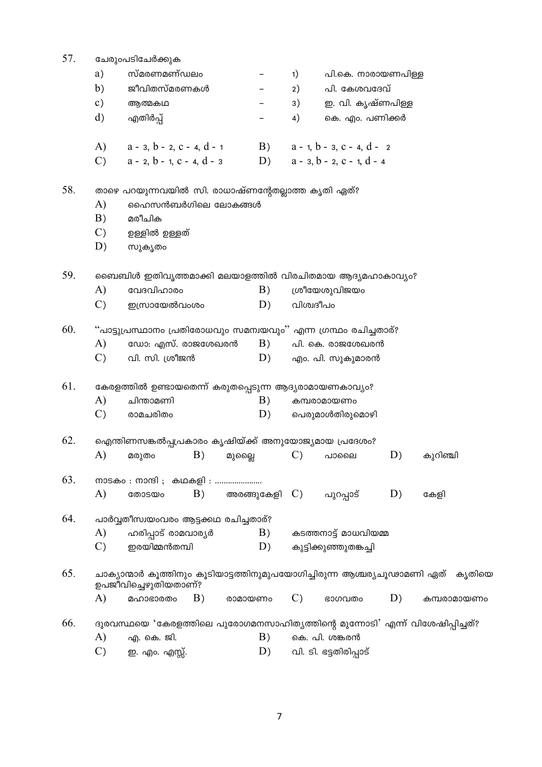| 57. |                 | ചേരുംപടിചേർക്കുക                                                                                 |                       |                 |                                       |    |             |
|-----|-----------------|--------------------------------------------------------------------------------------------------|-----------------------|-----------------|---------------------------------------|----|-------------|
|     | a)              | സ്മരണമണ്ഡലം                                                                                      |                       | 1)              | പി.കെ. നാരായണപിള്ള                    |    |             |
|     | b)              | ജീവിതസ്മരണകൾ                                                                                     |                       | 2)              | പി. കേശവദേവ്                          |    |             |
|     | $\mathbf{c})$   | ആത്മകഥ                                                                                           |                       | 3)              | ഇ. വി. കൃഷ്ണപിള്ള                     |    |             |
|     | $\rm d$         | എതിർപ്പ്                                                                                         |                       | 4)              | കെ. എം. പണിക്കർ                       |    |             |
|     | (A)             | $a - 3$ , $b - 2$ , $c - 4$ , $d - 1$                                                            | B)                    |                 | $a - 1$ , $b - 3$ , $c - 4$ , $d - 2$ |    |             |
|     | $\mathcal{C}$ ) | $a - 2$ , $b - 1$ , $c - 4$ , $d - 3$                                                            |                       |                 | D) $a - 3, b - 2, c - 1, d - 4$       |    |             |
| 58. |                 | താഴെ പറയുന്നവയിൽ സി. രാധാഷ്ണന്റേതല്ലാത്ത കൃതി ഏത്?                                               |                       |                 |                                       |    |             |
|     | A)              | ഹൈസൻബർഗിലെ ലോകങ്ങൾ                                                                               |                       |                 |                                       |    |             |
|     | B)              | മരീചിക                                                                                           |                       |                 |                                       |    |             |
|     | $\mathcal{C}$   | ഉള്ളിൽ ഉള്ളത്                                                                                    |                       |                 |                                       |    |             |
|     | D)              | സുകൃതം                                                                                           |                       |                 |                                       |    |             |
| 59. |                 | ബൈബിൾ ഇതിവൃത്തമാക്കി മലയാളത്തിൽ വിരചിതമായ ആദ്യമഹാകാവ്യം?                                         |                       |                 |                                       |    |             |
|     | A)              | വേദവിഹാരം                                                                                        | B)                    |                 | ശ്രീയേശുവിജയം                         |    |             |
|     | $\mathcal{C}$ ) | ഇസ്രായേൽവംശം                                                                                     | D)                    |                 | വിശ്വദീപം                             |    |             |
| 60. |                 | "പാട്ടുപ്രസ്ഥാനം പ്രതിരോധവും സമന്വയവും" എന്ന ഗ്രന്ഥം രചിച്ചതാര്?                                 |                       |                 |                                       |    |             |
|     | A)              | ഡോ: എസ്. രാജശേഖരൻ                                                                                | B)                    |                 | പി. കെ. രാജശേഖരൻ                      |    |             |
|     | $\mathcal{C}$ ) | വി. സി. ശ്രീജൻ                                                                                   | D)                    |                 | എം. പി. സുകുമാരൻ                      |    |             |
| 61. |                 | കേരളത്തിൽ ഉണ്ടായതെന്ന് കരുതപ്പെടുന്ന ആദ്യരാമായണകാവ്യം?                                           |                       |                 |                                       |    |             |
|     | A)              | ചിന്താമണി                                                                                        | B)                    |                 | കമ്പരാമായണം                           |    |             |
|     | $\mathcal{C}$ ) | രാമചരിതം                                                                                         | D)                    |                 | പെരുമാൾതിരുമൊഴി                       |    |             |
| 62. |                 | ഐന്തിണസങ്കൽപ്പപ്രകാരം കൃഷിയ്ക്ക് അനുയോജ്യമായ പ്രദേശം?                                            |                       |                 |                                       |    |             |
|     | A)              | B)<br>മരുതം                                                                                      | മുല്ലൈ                | $\mathcal{C}$ ) | പാലൈ                                  | D) | കുറിഞ്ചി    |
| 63. |                 | നാടകം : നാന്ദി ; കഥകളി :                                                                         |                       |                 |                                       |    |             |
|     | A)              | B)<br>തോടയം                                                                                      | അരങ്ങുകേളി $\Gamma$ ) |                 | പുറപ്പാട്                             | D) | കേളി        |
| 64. |                 | പാർവ്വതീസ്വയംവരം ആട്ടക്കഥ രചിച്ചതാര്?                                                            |                       |                 |                                       |    |             |
|     | A)              | ഹരിപ്പാട് രാമവാര്യർ                                                                              | B)                    |                 | കടത്തനാട്ട് മാധവിയമ്മ                 |    |             |
|     | $\mathcal{C}$ ) | ഇരയിമ്മൻതമ്പി                                                                                    | D)                    |                 | കുട്ടിക്കുഞ്ഞുതങ്കച്ചി                |    |             |
| 65. |                 | ചാക്യാന്മാർ കൂത്തിനും കൂടിയാട്ടത്തിനുമുപയോഗിച്ചിരുന്ന ആശ്ചര്യചൂഢാമണി ഏത്<br>ഉപജീവിച്ചെഴുതിയതാണ്? |                       |                 |                                       |    | കൃതിയെ      |
|     | A)              | B)<br>മഹാഭാരതം                                                                                   | രാമായണം               | $\mathcal{C}$ ) | ഭാഗവതം                                | D) | കമ്പരാമായണം |
| 66. |                 | ദുരവസ്ഥയെ 'കേരളത്തിലെ പുരോഗമനസാഹിത്യത്തിന്റെ മുന്നോടി' എന്ന് വിശേഷിപ്പിച്ചത്?                    |                       |                 |                                       |    |             |
|     | A)              | എ. കെ. ജി.                                                                                       | B)                    |                 | കെ. പി. ശങ്കരൻ                        |    |             |
|     | $\mathcal{C}$ ) | ഇ. എം. എസ്സ്.                                                                                    | D)                    |                 | വി. ടി. ഭട്ടതിരിപ്പാട്                |    |             |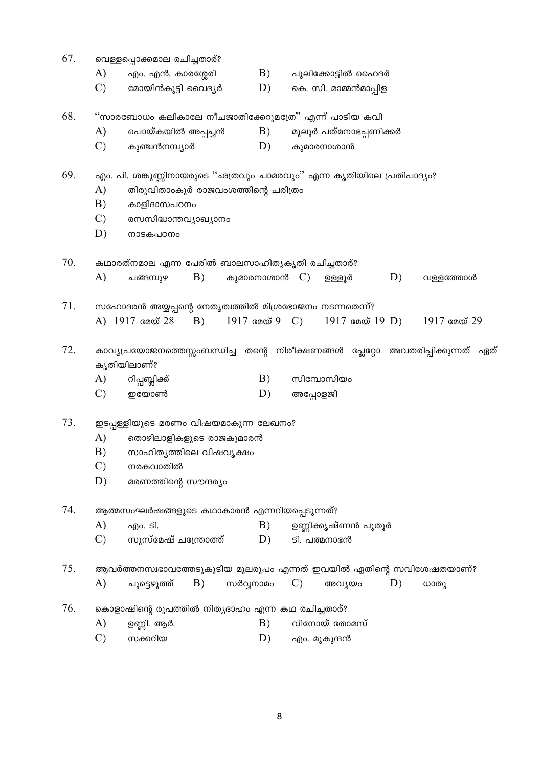| 67. |                 | വെള്ളപ്പൊക്കമാല രചിച്ചതാര്?                                                                    |                  |                         |                 |                |
|-----|-----------------|------------------------------------------------------------------------------------------------|------------------|-------------------------|-----------------|----------------|
|     | A)              | എം. എൻ. കാരശ്ശേരി                                                                              | B)               | പുലിക്കോട്ടിൽ ഹൈദർ      |                 |                |
|     | $\mathcal{C}$ ) | മോയിൻകുട്ടി വൈദ്യർ                                                                             | D)               | കെ. സി. മാമ്മൻമാപ്പിള   |                 |                |
| 68. |                 | ''സാരബോധം കലികാലേ നീചജാതിക്കേറുമത്രേ'' എന്ന് പാടിയ കവി                                         |                  |                         |                 |                |
|     | A)              | പൊയ്കയിൽ അപ്പച്ചൻ                                                                              | B)               | മൂലൂർ പത്മനാഭപ്പണിക്കർ  |                 |                |
|     | $\mathcal{C}$   | കുഞ്ചൻനമ്പ്യാർ                                                                                 | D)               | കുമാരനാശാൻ              |                 |                |
| 69. |                 | എം. പി. ശങ്കുണ്ണിനായരുടെ ''ഛത്രവും ചാമരവും'' എന്ന കൃതിയിലെ പ്രതിപാദ്യം?                        |                  |                         |                 |                |
|     | A)              | തിരുവിതാംകൂർ രാജവംശത്തിന്റെ ചരിത്രം                                                            |                  |                         |                 |                |
|     | B)              | കാളിദാസപഠനം                                                                                    |                  |                         |                 |                |
|     | $\mathcal{C}$ ) | രസസിദ്ധാന്തവ്യാഖ്യാനം                                                                          |                  |                         |                 |                |
|     | D)              | നാടകപഠനം                                                                                       |                  |                         |                 |                |
| 70. |                 | കഥാരത്നമാല എന്ന പേരിൽ ബാലസാഹിത്യകൃതി രചിച്ചതാര്?                                               |                  |                         |                 |                |
|     | A)              | B)<br>ചങ്ങമ്പുഴ                                                                                | കുമാരനാശാൻ $C$ ) | ഉള്ളൂർ                  | D)              | വള്ളത്തോൾ      |
| 71. |                 | സഹോദരൻ അയ്യപ്പന്റെ നേതൃത്വത്തിൽ മിശ്രഭോജനം നടന്നതെന്ന്?<br>A) 1917 മേയ് 28<br>B)               |                  |                         | 1917 മേയ് 19 D) | $1917$ മേയ് 29 |
| 72. |                 | കാവ്യപ്രയോജനത്തെസ്സംബന്ധിച്ച തന്റെ നിരീക്ഷണങ്ങൾ പ്ലേറ്റോ അവതരിപ്പിക്കുന്നത് ഏത്<br>കൃതിയിലാണ്? |                  |                         |                 |                |
|     | A)              | റിപ്പബ്ലിക്ക്                                                                                  | B)               | സിമ്പോസിയം              |                 |                |
|     | $\mathcal{C}$   | ഇയോൺ                                                                                           | D)               | അപ്പോളജി                |                 |                |
| 73. |                 | ഇടപ്പള്ളിയുടെ മരണം വിഷയമാകുന്ന ലേഖനം?                                                          |                  |                         |                 |                |
|     | A)              | തൊഴിലാളികളുടെ രാജകുമാരൻ                                                                        |                  |                         |                 |                |
|     | B)              | സാഹിത്യത്തിലെ വിഷവൃക്ഷം                                                                        |                  |                         |                 |                |
|     | $\mathcal{C}$ ) | നരകവാതിൽ                                                                                       |                  |                         |                 |                |
|     | D)              | മരണത്തിന്റെ സൗന്ദര്യം                                                                          |                  |                         |                 |                |
| 74. |                 | ആത്മസംഘർഷങ്ങളുടെ കഥാകാരൻ എന്നറിയപ്പെടുന്നത്?                                                   |                  |                         |                 |                |
|     | A)              | എം. ടി.                                                                                        | B)               | ഉണ്ണിക്കൃഷ്ണൻ പുതൂർ     |                 |                |
|     | $\mathcal{C}$ ) | സുസ്മേഷ് ചന്ത്രോത്ത്                                                                           | D)               | ടി. പത്മനാഭൻ            |                 |                |
| 75. |                 | ആവർത്തനസ്വഭാവത്തേടുകൂടിയ മൂലരൂപം എന്നത് ഇവയിൽ ഏതിന്റെ സവിശേഷതയാണ്?                             |                  |                         |                 |                |
|     | $\mathbf{A}$    | B)<br>ചുട്ടെഴുത്ത്                                                                             | സർവ്വനാമം        | $\mathcal{C}$<br>അവ്യയം | D)              | ധാതു           |
| 76. |                 | കൊളാഷിന്റെ രൂപത്തിൽ നിത്യദാഹം എന്ന കഥ രചിച്ചതാര്?                                              |                  |                         |                 |                |
|     | A)              | ഉണ്ണി. ആർ.                                                                                     | B)               | വിനോയ് തോമസ്            |                 |                |
|     | $\mathcal{C}$ ) | സക്കറിയ                                                                                        | D)               | എം. മുകുന്ദൻ            |                 |                |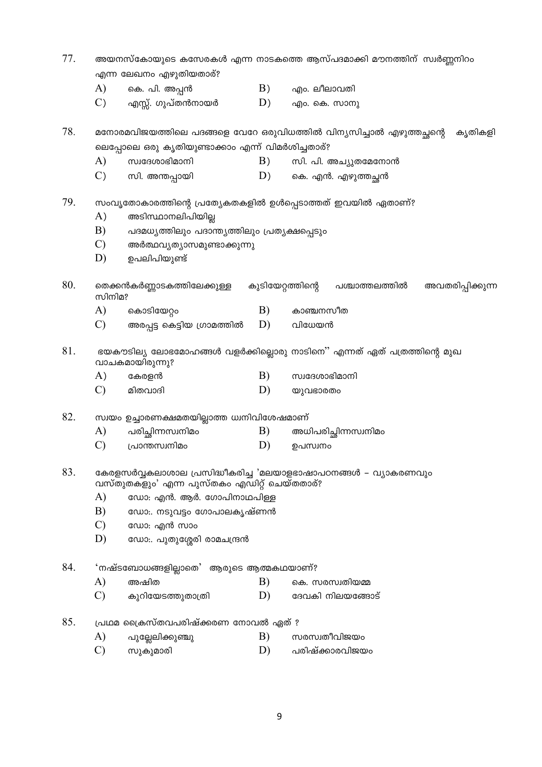- 77 അയനസ്കോയുടെ കസേരകൾ എന്ന നാടകത്തെ ആസ്പദമാക്കി മൗനത്തിന് സ്വർണ്ണനിറം എന്ന ലേഖനം എഴുതിയതാര്?
	- $B)$  $\bf{A}$ കെ. പി. അപ്പൻ എം. ലീലാവതി
	- $\mathcal{C}$  $D)$ എസ്സ്. ഗുപ്തൻനായർ എം. കെ. സാനു

78. മനോരമവിജയത്തിലെ പദങ്ങളെ വേറേ ഒരുവിധത്തിൽ വിന്യസിച്ചാൽ എഴുത്തച്ഛന്റെ ക്യതികളി ലെപ്പോലെ ഒരു കൃതിയുണ്ടാക്കാം എന്ന് വിമർശിച്ചതാര്?

- A) സ്വദേശാഭിമാനി  $B)$ സി. പി. അച്യുതമേനോൻ
- $\mathcal{C}$  $D)$ കെ. എൻ. എഴുത്തച്ചൻ സി. അന്തപ്പായി

79 സംവ്യൂതോകാരത്തിന്റെ പ്രത്യേകതകളിൽ ഉൾപ്പെടാത്തത് ഇവയിൽ ഏതാണ്?

- $A)$ അടിസ്ഥാനലിപിയില്ല
- $B)$ പദമധ്യത്തിലും പദാന്ത്യത്തിലും പ്രത്യക്ഷപ്പെടും
- $\mathcal{C}$ അർത്ഥവ്യത്യാസമുണ്ടാക്കുന്നു
- ഉപലിപിയുണ്ട്  $D)$

80. തെക്കൻകർണ്ണാടകത്തിലേക്കുള്ള കുടിയേറ്റത്തിന്റെ പശ്ചാത്തലത്തിൽ അവതരിപ്പിക്കുന്ന സിനിമു

- $\bf{A}$ കൊടിയേറ്റം  $B)$ കാഞ്ചനസീത
- $\mathcal{C}$ അരപ്പട്ട കെട്ടിയ ഗ്രാമത്തിൽ  $D)$ വിധേയൻ

81. ഭയകൗടില്യ ലോഭമോഹങ്ങൾ വളർക്കില്ലൊരു നാടിനെ'' എന്നത് ഏത് പത്രത്തിന്റെ മുഖ വാചകമായിരുന്നു?

- $A)$ കേരളൻ  $B)$ സ്വദേശാഭിമാനി
- $\mathcal{C}$  $D)$ മിതവാദി യുവഭാരതം

82. സ്വയം ഉച്ചാരണക്ഷമതയില്ലാത്ത ധ്വനിവിശേഷമാണ്

- A) പരിച്ചിന്നസ്വനിമം B) അധിപരിച്ചിന്നസ്വനിമം
- $\mathcal{C}$ D) ഉപസ്വനം പ്രാന്തസ്വനിമം

83. കേരളസർവ്വകലാശാല പ്രസിദ്ധീകരിച്ച 'മലയാളഭാഷാപഠനങ്ങൾ – വ്യാകരണവും വസ്തുതക്ളും' എന്ന പൂസ്തകം എഡിറ്റ് ചെയ്തതാര്?

- $\bf{A}$ ഡോ: എൻ. ആർ. ഗോപിനാഥപിള്ള
- $B)$ ഡോ.. നടുവട്ടം ഗോപാലകൃഷ്ണൻ
- $\mathcal{C}$ ഡോ: എൻ സാം
- $D)$ ഡോ:. പുതുശ്ശേരി രാമചന്ദ്രൻ

84. 'നഷ്ടബോധങ്ങളില്ലാതെ' ആരുടെ ആത്മകഥയാണ്?

- $\mathbf{A}$ B) അഷിത കെ. സരസ്വതിയമ്മ
- $\mathcal{C}$ കുറിയേടത്തുതാത്രി D) ദേവകി നിലയങ്ങോട്
- 85. പ്രഥമ ക്രൈസ്തവപരിഷ്ക്കരണ നോവൽ ഏത് ?
	- A) B) സരസ്വതീവിജയം പുല്ലേലിക്കുഞ്ചു
	- പരിഷ്ക്കാരവിജയം  $\mathcal{C}$ D) സുകുമാരി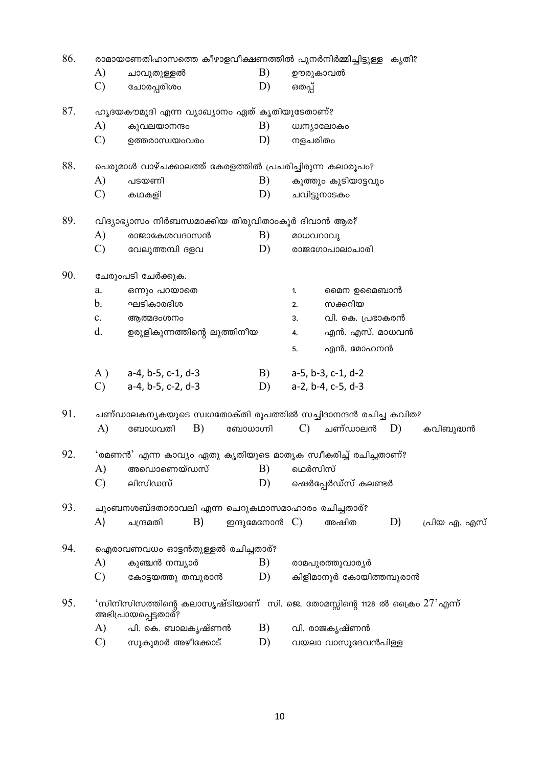| 86. |                |                                                               |                  | രാമായണേതിഹാസത്തെ കീഴാളവീക്ഷണത്തിൽ പുനർനിർമ്മിച്ചിട്ടുള്ള കൃതി?                    |
|-----|----------------|---------------------------------------------------------------|------------------|-----------------------------------------------------------------------------------|
|     | A)             | ചാവുതുള്ളൽ                                                    | B)               | ഊരുകാവൽ                                                                           |
|     | $\mathcal{C}$  | ചോരപ്പരിശം                                                    | D)               | ഒതപ്പ്                                                                            |
| 87. |                | ഹൃദയകൗമുദി എന്ന വ്യാഖ്യാനം ഏത് കൃതിയുടേതാണ്?                  |                  |                                                                                   |
|     | A)             | കുവലയാനന്ദം                                                   | B)               | ധ്വന്യാലോകം                                                                       |
|     | $\mathcal{C}$  | ഉത്തരാസ്വയംവരം                                                | D)               | നളചരിതം                                                                           |
| 88. |                | പെരുമാൾ വാഴ്ചക്കാലത്ത് കേരളത്തിൽ പ്രചരിച്ചിരുന്ന കലാരൂപം?     |                  |                                                                                   |
|     | A)             | പടയണി                                                         | B)               | കൂത്തും കൂടിയാട്ടവും                                                              |
|     | $\mathcal{C}$  | കഥകളി                                                         | D)               | ചവിട്ടുനാടകം                                                                      |
| 89. |                | വിദ്യാഭ്യാസം നിർബന്ധമാക്കിയ തിരുവിതാംകൂർ ദിവാൻ ആര?            |                  |                                                                                   |
|     | A)             | രാജാകേശവദാസൻ                                                  | B)               | മാധവറാവു                                                                          |
|     | $\mathcal{C}$  | വേലുത്തമ്പി ദളവ                                               | D)               | രാജഗോപാലാചാരി                                                                     |
| 90. |                | ചേരുംപടി ചേർക്കുക.                                            |                  |                                                                                   |
|     | a.             | ഒന്നും പറയാതെ                                                 |                  | മൈന ഉമൈബാൻ<br>1.                                                                  |
|     | b.             | ഘടികാരദിശ                                                     |                  | സക്കറിയ<br>2.                                                                     |
|     | $\mathbf{c}$ . | ആത്മദംശനം                                                     |                  | വി. കെ. പ്രഭാകരൻ<br>3.                                                            |
|     | d.             | ഉരുളികുന്നത്തിന്റെ ലുത്തിനീയ                                  |                  | എൻ. എസ്. മാധവൻ<br>4.                                                              |
|     |                |                                                               |                  | എൻ. മോഹനൻ<br>5.                                                                   |
|     | A)             | $a-4$ , $b-5$ , $c-1$ , $d-3$                                 | B)               | a-5, b-3, c-1, d-2                                                                |
|     | $\mathcal{C}$  | a-4, b-5, c-2, d-3                                            | D)               | a-2, b-4, c-5, d-3                                                                |
| 91. |                |                                                               |                  | ചണ്ഡാലകനൃകയുടെ സ്വഗതോക്തി രൂപത്തിൽ സച്ചിദാനന്ദൻ രചിച്ച കവിത?                      |
|     | $\mathbf{A}$   | B)<br>ബോധവതി                                                  | ബോധാഗ്നി         | $\mathcal{C}$<br>ചണ്ഡാലൻ<br>D)<br>കവിബുദ്ധൻ                                       |
| 92. |                | 'രമണൻ' എന്ന കാവ്യം ഏതു കൃതിയുടെ മാതൃക സ്വീകരിച്ച് രചിച്ചതാണ്? |                  |                                                                                   |
|     | A)             | അഡൊണെയ്ഡസ്                                                    | B)               | ഥെർസിസ്                                                                           |
|     | $\mathcal{C}$  | ലിസിഡസ്                                                       | D)               | ഷെർപ്പേർഡ്സ് കലണ്ടർ                                                               |
| 93. |                | ചുംബനശബ്ദതാരാവലി എന്ന ചെറുകഥാസമാഹാരം രചിച്ചതാര്?              |                  |                                                                                   |
|     | $\mathbf{A}$   | $\vert B \rangle$<br>ചന്ദ്രമതി                                | ഇന്ദുമേനോൻ $C$ ) | D)<br>അഷിത<br>പ്രിയ എ. എസ്                                                        |
| 94. |                | ഐരാവണവധം ഓട്ടൻതുള്ളൽ രചിച്ചതാര്?                              |                  |                                                                                   |
|     | A)             | കുഞ്ചൻ നമ്പ്യാർ                                               | B)               | രാമപുരത്തുവാര്യർ                                                                  |
|     | $\mathcal{C}$  | കോട്ടയത്തു തമ്പുരാൻ                                           | D)               | കിളിമാനൂർ കോയിത്തമ്പുരാൻ                                                          |
| 95. |                | അഭിപ്രായപ്പെട്ടതാര്?                                          |                  | 'സിനിസിസത്തിന്റെ കലാസൃഷ്ടിയാണ്  സി. ജെ. തോമസ്സിന്റെ 1128 ൽ ക്രൈം $27^\circ$ എന്ന് |
|     | A)             | പി. കെ. ബാലകൃഷ്ണൻ                                             | B)               | വി. രാജകൃഷ്ണൻ                                                                     |
|     | $\mathcal{C}$  | സുകുമാർ അഴീക്കോട്                                             | D)               | വയലാ വാസുദേവൻപിള്ള                                                                |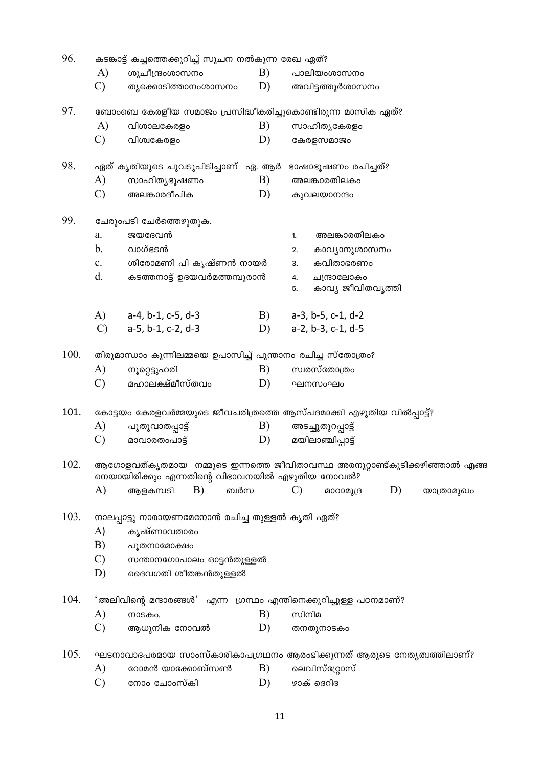| 96.  |                | കടങ്കാട്ട് കച്ചത്തെക്കുറിച്ച് സൂചന നൽകുന്ന രേഖ ഏത്?                                                                           |    |               |                                  |    |            |  |  |  |  |  |
|------|----------------|-------------------------------------------------------------------------------------------------------------------------------|----|---------------|----------------------------------|----|------------|--|--|--|--|--|
|      | A)             | ശുചീന്ദ്രംശാസനം                                                                                                               | B) |               | പാലിയംശാസനം                      |    |            |  |  |  |  |  |
|      | $\mathcal{C}$  | ത്യക്കൊടിത്താനംശാസനം                                                                                                          | D) |               | അവിട്ടത്തൂർശാസനം                 |    |            |  |  |  |  |  |
| 97.  |                | ബോംബെ കേരളീയ സമാജം പ്രസിദ്ധീകരിച്ചുകൊണ്ടിരുന്ന മാസിക ഏത്?                                                                     |    |               |                                  |    |            |  |  |  |  |  |
|      | A)             | വിശാലകേരളം                                                                                                                    | B) |               | സാഹിത്യകേരളം                     |    |            |  |  |  |  |  |
|      | $\mathcal{C}$  | വിശ്വകേരളം                                                                                                                    | D) |               | കേരളസമാജം                        |    |            |  |  |  |  |  |
| 98.  |                | ഏത് കൃതിയുടെ ചുവടുപിടിച്ചാണ്  ഏ. ആർ                                                                                           |    |               | ഭാഷാഭൂഷണം രചിച്ചത്?              |    |            |  |  |  |  |  |
|      | A)             | സാഹിത്യഭൂഷണം                                                                                                                  | B) |               | അലങ്കാരതിലകം                     |    |            |  |  |  |  |  |
|      | $\mathcal{C}$  | അലങ്കാരദീപിക                                                                                                                  | D) |               | കുവലയാനന്ദം                      |    |            |  |  |  |  |  |
| 99.  |                | ചേരുംപടി ചേർത്തെഴുതുക.                                                                                                        |    |               |                                  |    |            |  |  |  |  |  |
|      | a.             | ജയദേവൻ                                                                                                                        |    | 1.            | അലങ്കാരതിലകം                     |    |            |  |  |  |  |  |
|      | b.             | വാഗ്ഭടൻ                                                                                                                       |    | 2.            | കാവ്യാനുശാസനം                    |    |            |  |  |  |  |  |
|      | $\mathbf{c}$ . | ശിരോമണി പി കൃഷ്ണൻ നായർ                                                                                                        |    | 3.            | കവിതാഭരണം                        |    |            |  |  |  |  |  |
|      | d.             | കടത്തനാട്ട് ഉദയവർമത്തമ്പുരാൻ                                                                                                  |    | 4.<br>5.      | ചന്ദ്രാലോകം<br>കാവ്യ ജീവിതവൃത്തി |    |            |  |  |  |  |  |
|      |                | A) a-4, b-1, c-5, d-3                                                                                                         | B) |               | $a-3$ , $b-5$ , $c-1$ , $d-2$    |    |            |  |  |  |  |  |
|      | $\mathcal{C}$  | a-5, b-1, c-2, d-3                                                                                                            | D) |               | a-2, b-3, c-1, d-5               |    |            |  |  |  |  |  |
| 100. |                | തിരുമാന്ധാം കുന്നിലമ്മയെ ഉപാസിച്ച് പൂന്താനം രചിച്ച സ്തോത്രം?                                                                  |    |               |                                  |    |            |  |  |  |  |  |
|      | A)             | നൂറ്റെട്ടുഹരി                                                                                                                 | B) |               | സ്വരസ്തോത്രം                     |    |            |  |  |  |  |  |
|      | $\mathcal{C}$  | മഹാലക്ഷ്മീസ്തവം                                                                                                               | D) |               | ഘനസംഘം                           |    |            |  |  |  |  |  |
| 101. |                | കോട്ടയം കേരളവർമ്മയുടെ ജീവചരിത്രത്തെ ആസ്പദമാക്കി എഴുതിയ വിൽപ്പാട്ട്?                                                           |    |               |                                  |    |            |  |  |  |  |  |
|      | A)             | പുതുവാതപ്പാട്ട്                                                                                                               | B) |               | അടച്ചുതുറപ്പാട്ട്                |    |            |  |  |  |  |  |
|      | $\mathcal{C}$  | മാവാരതംപാട്ട്                                                                                                                 | D) |               | മയിലാഞ്ചിപ്പാട്ട്                |    |            |  |  |  |  |  |
| 102. |                | ആഗോളവത്കൃതമായ  നമ്മുടെ ഇന്നത്തെ ജീവിതാവസ്ഥ അരനൂറ്റാണ്ട്കൂടിക്കഴിഞ്ഞാൽ എങ്ങ<br>നെയായിരിക്കും എന്നതിന്റെ വിഭാവനയിൽ എഴുതിയ നോവൽ? |    |               |                                  |    |            |  |  |  |  |  |
|      | A)             | B)<br>ബർസ<br>ആളകമ്പടി                                                                                                         |    | $\mathcal{C}$ | മാറാമുദ്ര                        | D) | യാത്രാമുഖം |  |  |  |  |  |
| 103. |                | നാലപ്പാട്ടു നാരായണമേനോൻ രചിച്ച തുള്ളൽ കൃതി ഏത്?                                                                               |    |               |                                  |    |            |  |  |  |  |  |
|      | A)             | കൃഷ്ണാവതാരം                                                                                                                   |    |               |                                  |    |            |  |  |  |  |  |
|      | B)             | പൂതനാമോക്ഷം                                                                                                                   |    |               |                                  |    |            |  |  |  |  |  |
|      | $\mathcal{C}$  | സന്താനഗോപാലം ഓട്ടൻതുള്ളൽ                                                                                                      |    |               |                                  |    |            |  |  |  |  |  |
|      | D)             | ദൈവഗതി ശീതങ്കൻതുള്ളൽ                                                                                                          |    |               |                                  |    |            |  |  |  |  |  |
| 104. |                | 'അലിവിന്റെ മന്ദാരങ്ങൾ' എന്ന ഗ്രന്ഥം എന്തിനെക്കുറിച്ചുള്ള പഠനമാണ്?                                                             |    |               |                                  |    |            |  |  |  |  |  |
|      | A)             | നാടകം.                                                                                                                        | B) | സിനിമ         |                                  |    |            |  |  |  |  |  |
|      | $\mathcal{C}$  | ആധുനിക നോവൽ                                                                                                                   | D) |               | തനതുനാടകം                        |    |            |  |  |  |  |  |
| 105. |                | ഘടനാവാദപരമായ സാംസ്കാരികാപഗ്രഥനം ആരംഭിക്കുന്നത് ആരുടെ നേതൃത്വത്തിലാണ്?                                                         |    |               |                                  |    |            |  |  |  |  |  |
|      | A)             | റോമൻ യാക്കോബ്സൺ                                                                                                               | B) |               | ലെവിസ്ഗ്രോസ്                     |    |            |  |  |  |  |  |

 $\mathbf C$ ) സോം ചോംസ്കി  $D)$ ം<br>ഉാക് ദെറിദ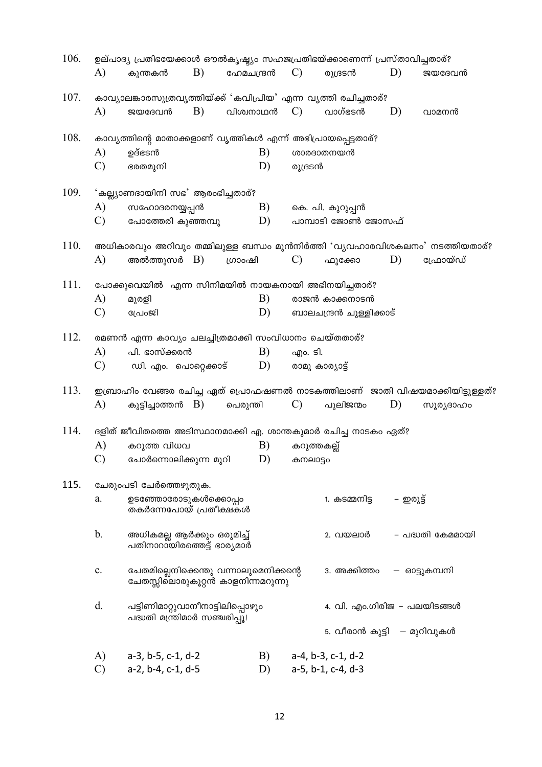| 106. |               | ഉല്പാദ്യ പ്രതിഭയേക്കാൾ ഔൽകൃഷ്യം സഹജപ്രതിഭയ്ക്കാണെന്ന് പ്രസ്താവിച്ചതാര്?     |            |            |    |               |                               |           |                                                                              |
|------|---------------|-----------------------------------------------------------------------------|------------|------------|----|---------------|-------------------------------|-----------|------------------------------------------------------------------------------|
|      | A)            | കുന്തകൻ                                                                     | B)         | ഫേമചന്ദ്രൻ |    | $\mathcal{C}$ | രുദ്രടൻ                       | D)        | ജയദേവൻ                                                                       |
| 107. |               | കാവ്യാലങ്കാരസൂത്രവൃത്തിയ്ക്ക് 'കവിപ്രിയ' എന്ന വൃത്തി രചിച്ചതാര്?            |            |            |    |               |                               |           |                                                                              |
|      | A)            | ജയദേവൻ                                                                      | B)         | വിശ്വനാഥൻ  |    | $\mathcal{C}$ | വാഗ്ഭടൻ                       | D)        | വാമനൻ                                                                        |
| 108. |               | കാവ്യത്തിന്റെ മാതാക്കളാണ് വൃത്തികൾ എന്ന് അഭിപ്രായപ്പെട്ടതാര്?               |            |            |    |               |                               |           |                                                                              |
|      | A)            | ഉദ്ഭടൻ                                                                      |            |            | B) |               | ശാരദാതനയൻ                     |           |                                                                              |
|      | $\mathcal{C}$ | ഭരതമുനി                                                                     |            |            | D) | രുദ്രടൻ       |                               |           |                                                                              |
| 109. |               | 'കല്ല്യാണദായിനി സഭ' ആരംഭിച്ചതാര്?                                           |            |            |    |               |                               |           |                                                                              |
|      | A)            | സഹോദരനയ്യപ്പൻ                                                               |            |            | B) |               | കെ. പി. കുറുപ്പൻ              |           |                                                                              |
|      | C)            | പോത്തേരി കുഞ്ഞമ്പു                                                          |            |            | D) |               | പാമ്പാടി ജോൺ ജോസഫ്            |           |                                                                              |
| 110. |               |                                                                             |            |            |    |               |                               |           | അധികാരവും അറിവും തമ്മിലുള്ള ബന്ധം മുൻനിർത്തി 'വൃവഹാരവിശകലനം' നടത്തിയതാര്?    |
|      | A)            | അൽത്തൂസർ                                                                    | <b>B</b> ) | ഗ്രാംഷി    |    | $\mathcal{C}$ | ഫൂക്കോ                        | D)        | ഫ്രോയ്ഡ്                                                                     |
| 111. |               | പോക്കുവെയിൽ എന്ന സിനിമയിൽ നായകനായി അഭിനയിച്ചതാര്?                           |            |            |    |               |                               |           |                                                                              |
|      | A)            | മുരളി                                                                       |            |            | B) |               | രാജൻ കാക്കനാടൻ                |           |                                                                              |
|      | $\mathcal{C}$ | പ്രോജി                                                                      |            |            | D) |               | ബാലചന്ദ്രൻ ചുള്ളിക്കാട്       |           |                                                                              |
| 112. |               | രമണൻ എന്ന കാവ്യം ചലച്ചിത്രമാക്കി സംവിധാനം ചെയ്തതാര്?                        |            |            |    |               |                               |           |                                                                              |
|      | A)            | പി. ഭാസ്ക്കരൻ                                                               |            |            | B) | എം. ടി.       |                               |           |                                                                              |
|      | $\mathcal{C}$ | ഡി. എം. പൊറ്റെക്കാട്                                                        |            |            | D) |               | രാമു കാര്യാട്ട്               |           |                                                                              |
| 113. |               |                                                                             |            |            |    |               |                               |           | ഇബ്രാഹിം വേങ്ങര രചിച്ച ഏത് പ്രൊഫഷണൽ നാടകത്തിലാണ് ജാതി വിഷയമാക്കിയിട്ടുള്ളത്? |
|      | A)            | കുട്ടിച്ചാത്തൻ B)                                                           |            | പെരുന്തി   |    | C)            | പുലിജന്മം                     | D)        | സൂര്യദാഹം                                                                    |
| 114. |               | ദളിത് ജീവിതത്തെ അടിസ്ഥാനമാക്കി എ. ശാന്തകുമാർ രചിച്ച നാടകം ഏത്?              |            |            |    |               |                               |           |                                                                              |
|      | A)            | കറുത്ത വിധവ                                                                 |            |            | B) | കറുത്തകല്ല്   |                               |           |                                                                              |
|      | $\mathcal{C}$ | ചോർന്നൊലിക്കുന്ന മുറി                                                       |            |            | D) | കനലാട്ടം      |                               |           |                                                                              |
| 115. |               | ചേരുംപടി ചേർത്തെഴുതുക.                                                      |            |            |    |               |                               |           |                                                                              |
|      | a.            | ഉടഞ്ഞോരോടുകൾക്കൊപ്പം<br>തകർന്നേപോയ് പ്രതീക്ഷകൾ                              |            |            |    |               | 1. കടമ്മനിട്ട                 | – ഇരുട്ട് |                                                                              |
|      | b.            | അധികമല്ല ആർക്കും ഒരുമിച്ച്<br>പതിനാറായിരത്തെട്ട് ഭാര്യമാർ                   |            |            |    |               | 2. വയലാർ                      |           | – പദ്ധതി കേമമായി                                                             |
|      | c.            | ചേതമില്ലെനിക്കെന്തു വന്നാലുമെനിക്കന്റെ<br>ചേതസ്സിലൊരുകൂറ്റൻ കാളനിന്നമറുന്നു |            |            |    |               | 3. അക്കിത്തം                  |           | — ഓട്ടുകമ്പനി                                                                |
|      | d.            | പട്ടിണിമാറ്റുവാനീനാട്ടിലിപ്പൊഴും<br>പദ്ധതി മന്ത്രിമാർ സഞ്ചരിപ്പൂ!           |            |            |    |               | 4. വി. എം.ഗിരിജ – പലയിടങ്ങൾ   |           |                                                                              |
|      |               |                                                                             |            |            |    |               | 5. വീരാൻ കുട്ടി   — മുറിവുകൾ  |           |                                                                              |
|      | A)            | $a-3$ , $b-5$ , $c-1$ , $d-2$                                               |            |            | B) |               | $a-4$ , $b-3$ , $c-1$ , $d-2$ |           |                                                                              |
|      | $\mathcal{C}$ | a-2, b-4, c-1, d-5                                                          |            |            | D) |               | a-5, b-1, c-4, d-3            |           |                                                                              |